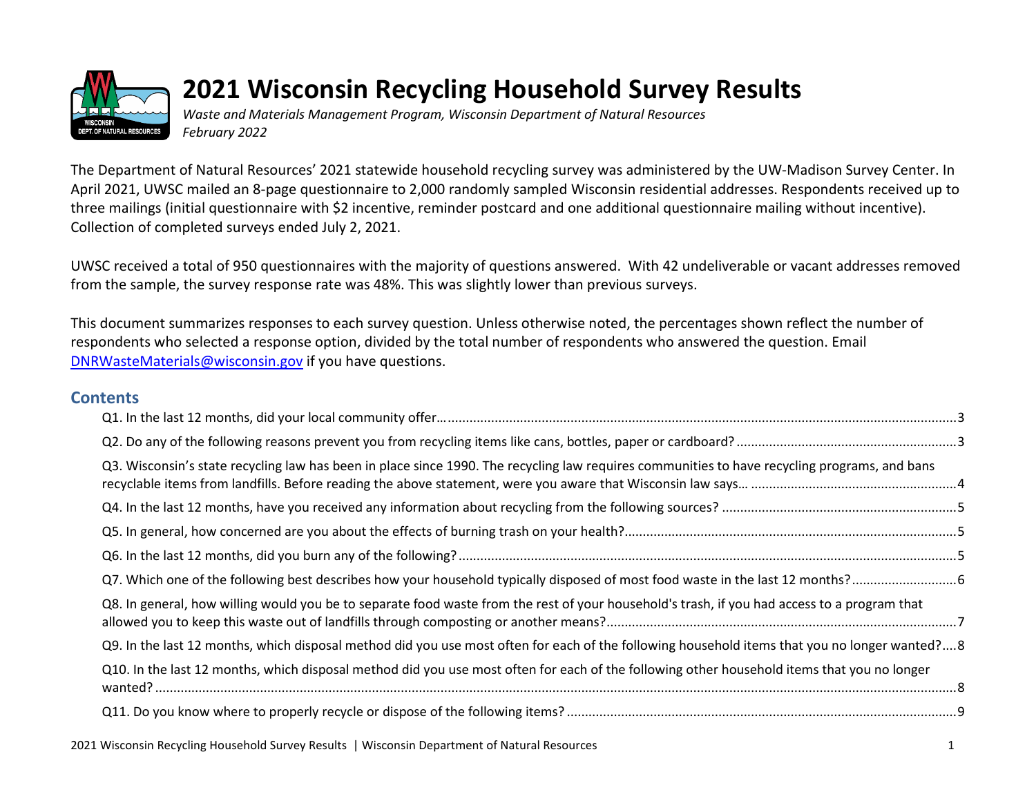

# **2021 Wisconsin Recycling Household Survey Results**

*Waste and Materials Management Program, Wisconsin Department of Natural Resources February 2022*

The Department of Natural Resources' 2021 statewide household recycling survey was administered by the UW-Madison Survey Center. In April 2021, UWSC mailed an 8-page questionnaire to 2,000 randomly sampled Wisconsin residential addresses. Respondents received up to three mailings (initial questionnaire with \$2 incentive, reminder postcard and one additional questionnaire mailing without incentive). Collection of completed surveys ended July 2, 2021.

UWSC received a total of 950 questionnaires with the majority of questions answered. With 42 undeliverable or vacant addresses removed from the sample, the survey response rate was 48%. This was slightly lower than previous surveys.

This document summarizes responses to each survey question. Unless otherwise noted, the percentages shown reflect the number of respondents who selected a response option, divided by the total number of respondents who answered the question. Email [DNRWasteMaterials@wisconsin.gov](mailto:DNRWasteMaterials@wisconsin.gov) if you have questions.

#### **Contents**

| Q3. Wisconsin's state recycling law has been in place since 1990. The recycling law requires communities to have recycling programs, and bans |
|-----------------------------------------------------------------------------------------------------------------------------------------------|
|                                                                                                                                               |
|                                                                                                                                               |
|                                                                                                                                               |
|                                                                                                                                               |
| Q8. In general, how willing would you be to separate food waste from the rest of your household's trash, if you had access to a program that  |
| Q9. In the last 12 months, which disposal method did you use most often for each of the following household items that you no longer wanted?8 |
| Q10. In the last 12 months, which disposal method did you use most often for each of the following other household items that you no longer   |
|                                                                                                                                               |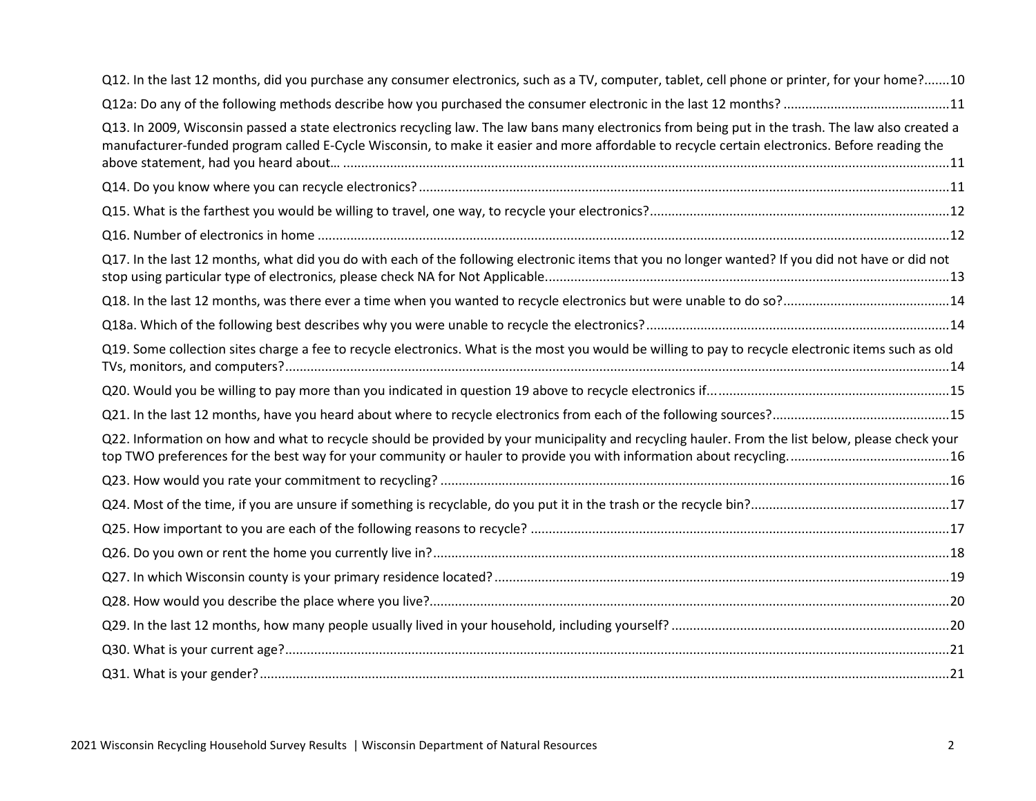| Q12. In the last 12 months, did you purchase any consumer electronics, such as a TV, computer, tablet, cell phone or printer, for your home?10                                                                                                                                                        |  |
|-------------------------------------------------------------------------------------------------------------------------------------------------------------------------------------------------------------------------------------------------------------------------------------------------------|--|
|                                                                                                                                                                                                                                                                                                       |  |
| Q13. In 2009, Wisconsin passed a state electronics recycling law. The law bans many electronics from being put in the trash. The law also created a<br>manufacturer-funded program called E-Cycle Wisconsin, to make it easier and more affordable to recycle certain electronics. Before reading the |  |
|                                                                                                                                                                                                                                                                                                       |  |
|                                                                                                                                                                                                                                                                                                       |  |
|                                                                                                                                                                                                                                                                                                       |  |
| Q17. In the last 12 months, what did you do with each of the following electronic items that you no longer wanted? If you did not have or did not                                                                                                                                                     |  |
|                                                                                                                                                                                                                                                                                                       |  |
|                                                                                                                                                                                                                                                                                                       |  |
| Q19. Some collection sites charge a fee to recycle electronics. What is the most you would be willing to pay to recycle electronic items such as old                                                                                                                                                  |  |
|                                                                                                                                                                                                                                                                                                       |  |
|                                                                                                                                                                                                                                                                                                       |  |
| Q22. Information on how and what to recycle should be provided by your municipality and recycling hauler. From the list below, please check your                                                                                                                                                      |  |
|                                                                                                                                                                                                                                                                                                       |  |
|                                                                                                                                                                                                                                                                                                       |  |
|                                                                                                                                                                                                                                                                                                       |  |
|                                                                                                                                                                                                                                                                                                       |  |
|                                                                                                                                                                                                                                                                                                       |  |
|                                                                                                                                                                                                                                                                                                       |  |
|                                                                                                                                                                                                                                                                                                       |  |
|                                                                                                                                                                                                                                                                                                       |  |
|                                                                                                                                                                                                                                                                                                       |  |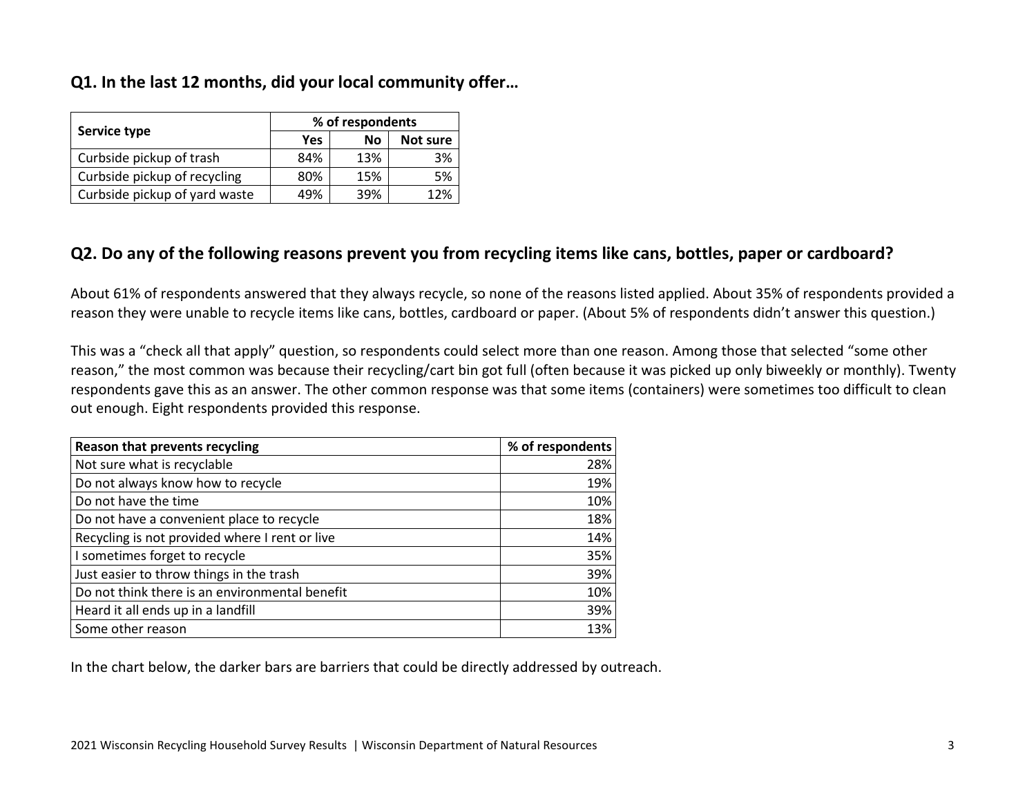#### <span id="page-2-0"></span>**Q1. In the last 12 months, did your local community offer…**

| Service type                  | % of respondents |           |          |  |
|-------------------------------|------------------|-----------|----------|--|
|                               | Yes              | <b>No</b> | Not sure |  |
| Curbside pickup of trash      | 84%              | 13%       | 3%       |  |
| Curbside pickup of recycling  | 80%              | 15%       | 5%       |  |
| Curbside pickup of yard waste | 49%              | 39%       | 12%      |  |

#### <span id="page-2-1"></span>**Q2. Do any of the following reasons prevent you from recycling items like cans, bottles, paper or cardboard?**

About 61% of respondents answered that they always recycle, so none of the reasons listed applied. About 35% of respondents provided a reason they were unable to recycle items like cans, bottles, cardboard or paper. (About 5% of respondents didn't answer this question.)

This was a "check all that apply" question, so respondents could select more than one reason. Among those that selected "some other reason," the most common was because their recycling/cart bin got full (often because it was picked up only biweekly or monthly). Twenty respondents gave this as an answer. The other common response was that some items (containers) were sometimes too difficult to clean out enough. Eight respondents provided this response.

| Reason that prevents recycling                 | % of respondents |
|------------------------------------------------|------------------|
| Not sure what is recyclable                    | 28%              |
| Do not always know how to recycle              | 19%              |
| Do not have the time                           | 10%              |
| Do not have a convenient place to recycle      | 18%              |
| Recycling is not provided where I rent or live | 14%              |
| I sometimes forget to recycle                  | 35%              |
| Just easier to throw things in the trash       | 39%              |
| Do not think there is an environmental benefit | 10%              |
| Heard it all ends up in a landfill             | 39%              |
| Some other reason                              | 13%              |

In the chart below, the darker bars are barriers that could be directly addressed by outreach.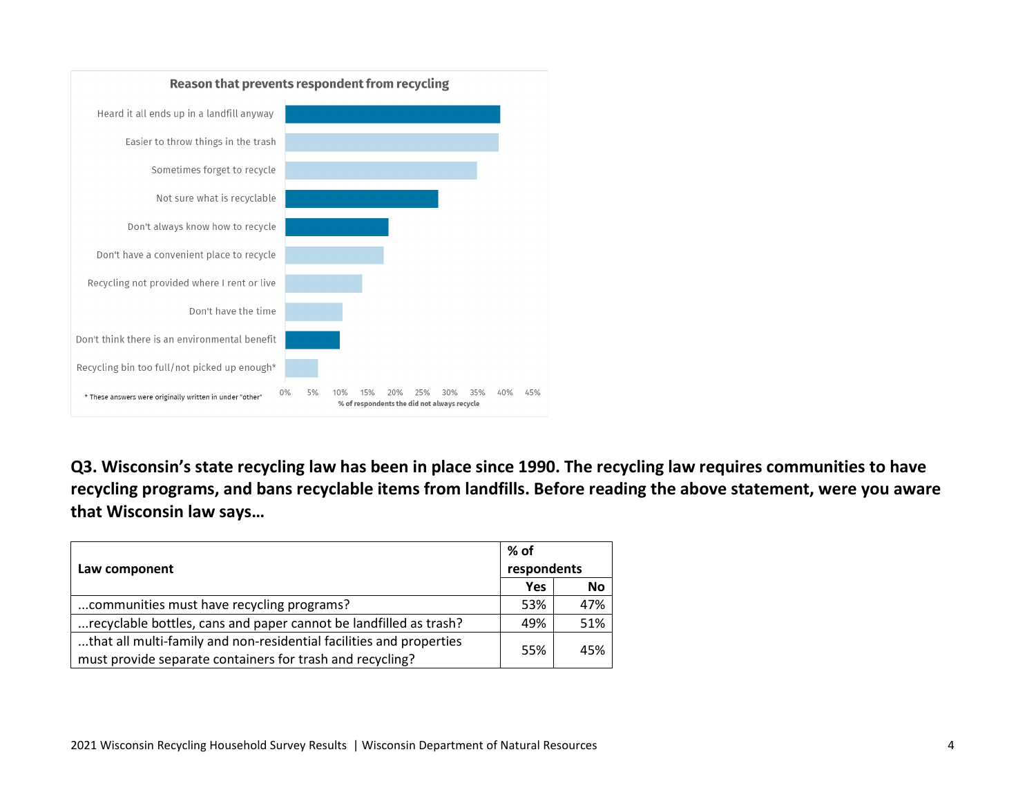

<span id="page-3-0"></span>**Q3. Wisconsin's state recycling law has been in place since 1990. The recycling law requires communities to have recycling programs, and bans recyclable items from landfills. Before reading the above statement, were you aware that Wisconsin law says…**

|                                                                     | % of       |             |  |
|---------------------------------------------------------------------|------------|-------------|--|
| Law component                                                       |            | respondents |  |
|                                                                     | <b>Yes</b> | <b>No</b>   |  |
| communities must have recycling programs?                           | 53%        | 47%         |  |
| recyclable bottles, cans and paper cannot be landfilled as trash?   | 49%        | 51%         |  |
| that all multi-family and non-residential facilities and properties | 55%        | 45%         |  |
| must provide separate containers for trash and recycling?           |            |             |  |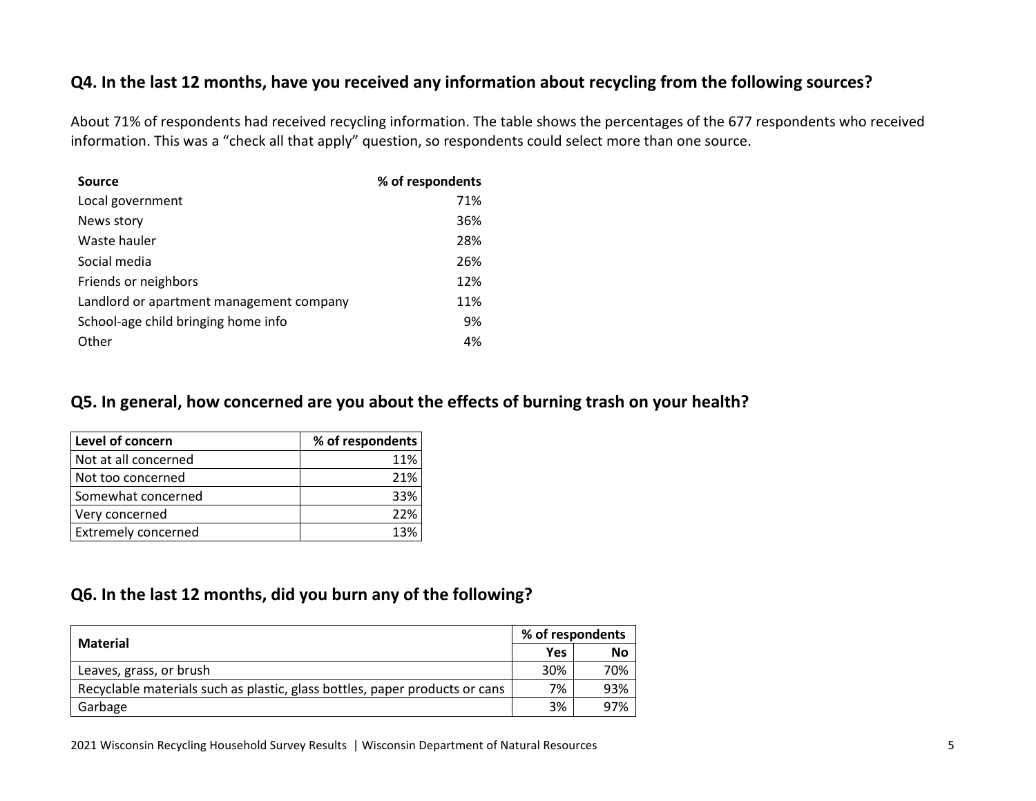#### <span id="page-4-0"></span>**Q4. In the last 12 months, have you received any information about recycling from the following sources?**

About 71% of respondents had received recycling information. The table shows the percentages of the 677 respondents who received information. This was a "check all that apply" question, so respondents could select more than one source.

| Source                                   | % of respondents |
|------------------------------------------|------------------|
| Local government                         | 71%              |
| News story                               | 36%              |
| Waste hauler                             | 28%              |
| Social media                             | 26%              |
| Friends or neighbors                     | 12%              |
| Landlord or apartment management company | 11%              |
| School-age child bringing home info      | 9%               |
| Other                                    | 4%               |

#### <span id="page-4-1"></span>**Q5. In general, how concerned are you about the effects of burning trash on your health?**

| Level of concern           | % of respondents |
|----------------------------|------------------|
| Not at all concerned       | 11%              |
| Not too concerned          | 21%              |
| Somewhat concerned         | 33%              |
| Very concerned             | 22%              |
| <b>Extremely concerned</b> | 13%              |

#### <span id="page-4-2"></span>**Q6. In the last 12 months, did you burn any of the following?**

| Material                                                                    |     | % of respondents |  |  |
|-----------------------------------------------------------------------------|-----|------------------|--|--|
|                                                                             | Yes | <b>No</b>        |  |  |
| Leaves, grass, or brush                                                     | 30% | 70%              |  |  |
| Recyclable materials such as plastic, glass bottles, paper products or cans | 7%  | 93%              |  |  |
| Garbage                                                                     | 3%  | 97%              |  |  |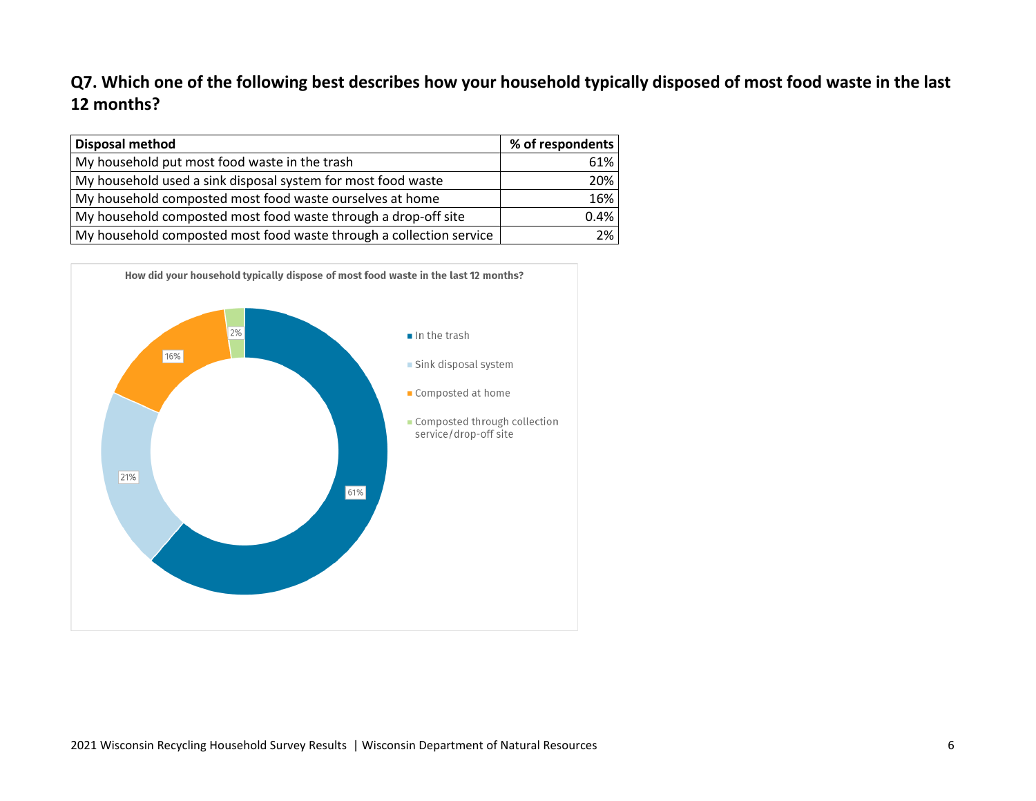# <span id="page-5-0"></span>**Q7. Which one of the following best describes how your household typically disposed of most food waste in the last 12 months?**

| <b>Disposal method</b>                                              | % of respondents |
|---------------------------------------------------------------------|------------------|
| My household put most food waste in the trash                       | 61%              |
| My household used a sink disposal system for most food waste        | 20%              |
| My household composted most food waste ourselves at home            | 16%              |
| My household composted most food waste through a drop-off site      | 0.4%             |
| My household composted most food waste through a collection service | 2%               |

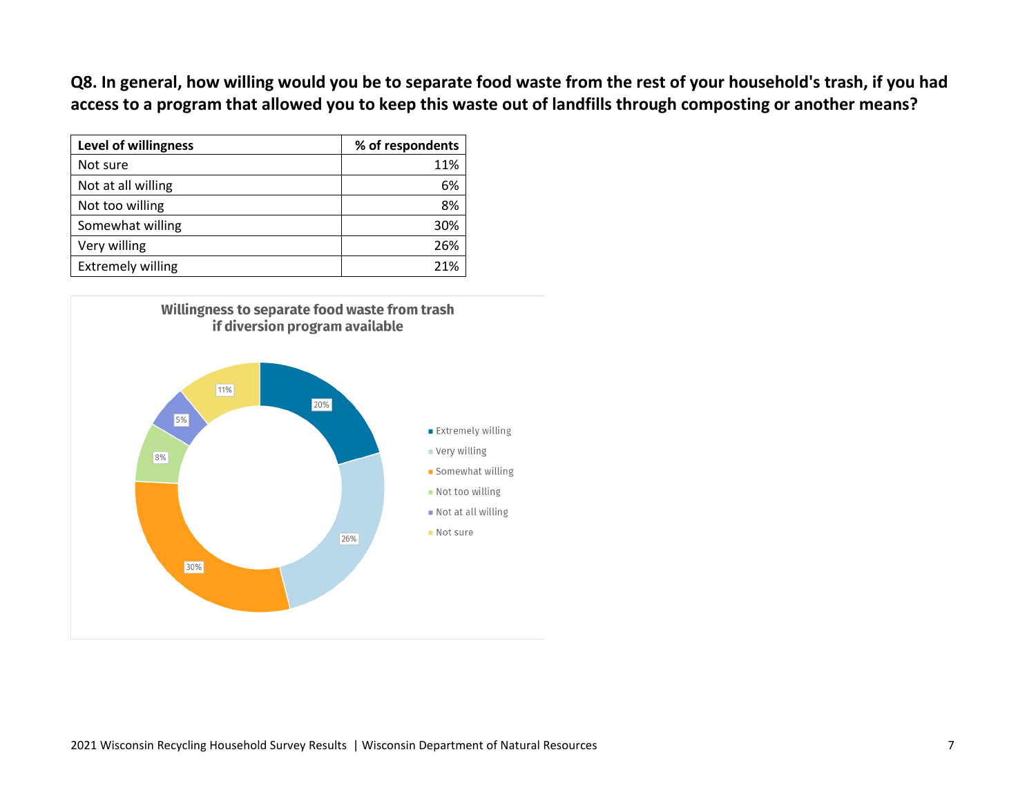<span id="page-6-0"></span>**Q8. In general, how willing would you be to separate food waste from the rest of your household's trash, if you had access to a program that allowed you to keep this waste out of landfills through composting or another means?**

| Level of willingness     | % of respondents |
|--------------------------|------------------|
| Not sure                 | 11%              |
| Not at all willing       | 6%               |
| Not too willing          | 8%               |
| Somewhat willing         | 30%              |
| Very willing             | 26%              |
| <b>Extremely willing</b> | 21%              |

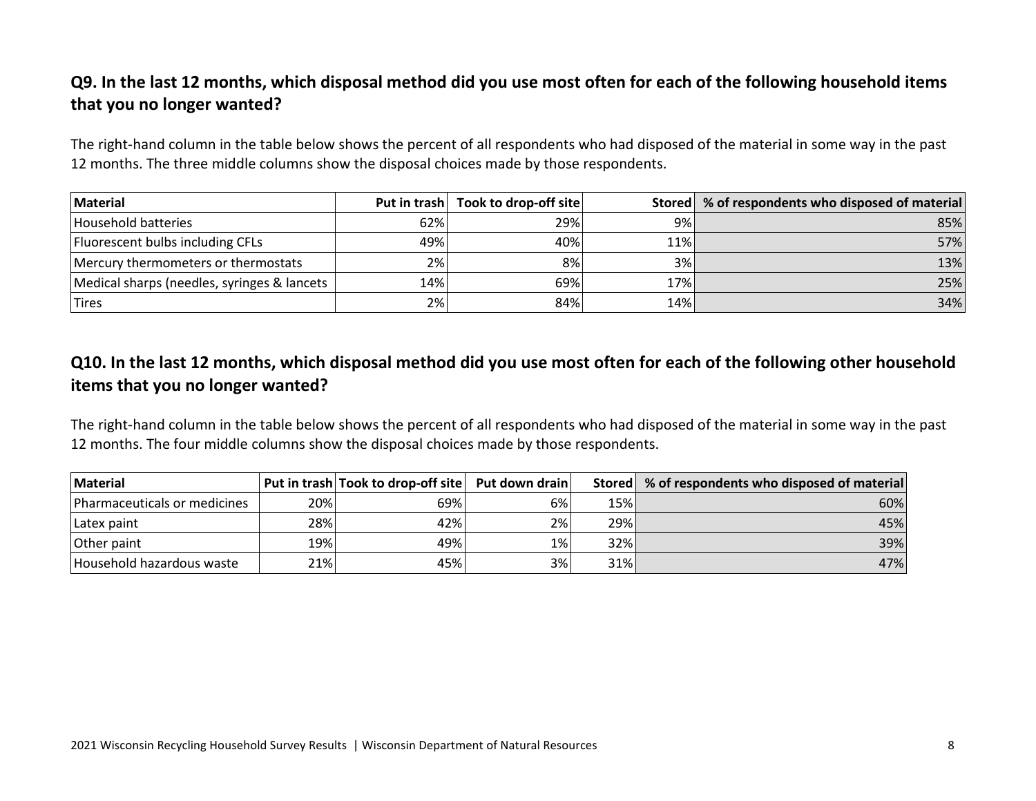# <span id="page-7-0"></span>**Q9. In the last 12 months, which disposal method did you use most often for each of the following household items that you no longer wanted?**

The right-hand column in the table below shows the percent of all respondents who had disposed of the material in some way in the past 12 months. The three middle columns show the disposal choices made by those respondents.

| Material                                    |     | Put in trash   Took to drop-off site |     | Stored   % of respondents who disposed of material |
|---------------------------------------------|-----|--------------------------------------|-----|----------------------------------------------------|
| Household batteries                         | 62% | 29%                                  | 9%  | 85%                                                |
| Fluorescent bulbs including CFLs            | 49% | 40%                                  | 11% | 57%                                                |
| Mercury thermometers or thermostats         | 2%  | 8%                                   | 3%  | 13%                                                |
| Medical sharps (needles, syringes & lancets | 14% | 69%                                  | 17% | 25%                                                |
| <b>Tires</b>                                | 2%  | 84%                                  | 14% | 34%                                                |

# <span id="page-7-1"></span>**Q10. In the last 12 months, which disposal method did you use most often for each of the following other household items that you no longer wanted?**

The right-hand column in the table below shows the percent of all respondents who had disposed of the material in some way in the past 12 months. The four middle columns show the disposal choices made by those respondents.

| <b>Material</b>              |     | Put in trash Took to drop-off site Put down drain |    |     | Stored   % of respondents who disposed of material |
|------------------------------|-----|---------------------------------------------------|----|-----|----------------------------------------------------|
| Pharmaceuticals or medicines | 20% | 69%                                               | 6% | 15% | 60%                                                |
| Latex paint                  | 28% | 42%                                               | 2% | 29% | 45%                                                |
| Other paint                  | 19% | 49%                                               | 1% | 32% | 39%                                                |
| Household hazardous waste    | 21% | 45%                                               | 3% | 31% | 47%                                                |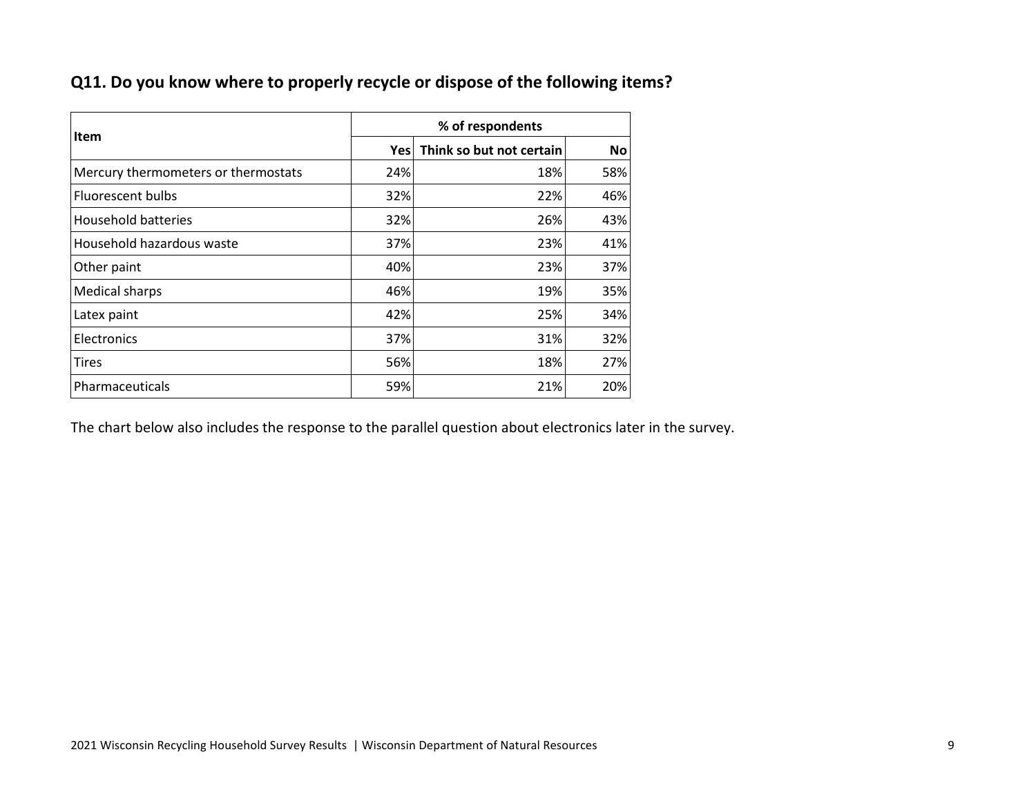# <span id="page-8-0"></span>**Q11. Do you know where to properly recycle or dispose of the following items?**

| <b>Item</b>                         | % of respondents |                          |           |  |
|-------------------------------------|------------------|--------------------------|-----------|--|
|                                     | Yesl             | Think so but not certain | <b>No</b> |  |
| Mercury thermometers or thermostats | 24%              | 18%                      | 58%       |  |
| <b>Fluorescent bulbs</b>            | 32%              | 22%                      | 46%       |  |
| <b>Household batteries</b>          | 32%              | 26%                      | 43%       |  |
| Household hazardous waste           | 37%              | 23%                      | 41%       |  |
| Other paint                         | 40%              | 23%                      | 37%       |  |
| <b>Medical sharps</b>               | 46%              | 19%                      | 35%       |  |
| Latex paint                         | 42%              | 25%                      | 34%       |  |
| Electronics                         | 37%              | 31%                      | 32%       |  |
| <b>Tires</b>                        | 56%              | 18%                      | 27%       |  |
| Pharmaceuticals                     | 59%              | 21%                      | 20%       |  |

The chart below also includes the response to the parallel question about electronics later in the survey.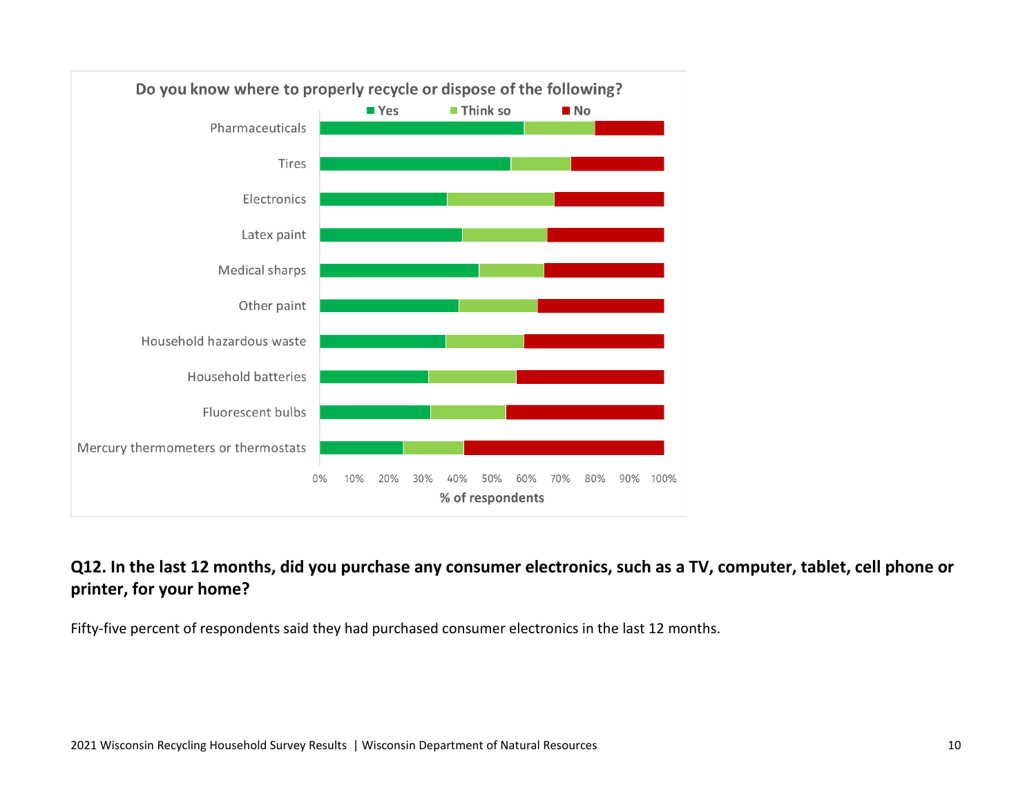

# <span id="page-9-0"></span>**Q12. In the last 12 months, did you purchase any consumer electronics, such as a TV, computer, tablet, cell phone or printer, for your home?**

Fifty-five percent of respondents said they had purchased consumer electronics in the last 12 months.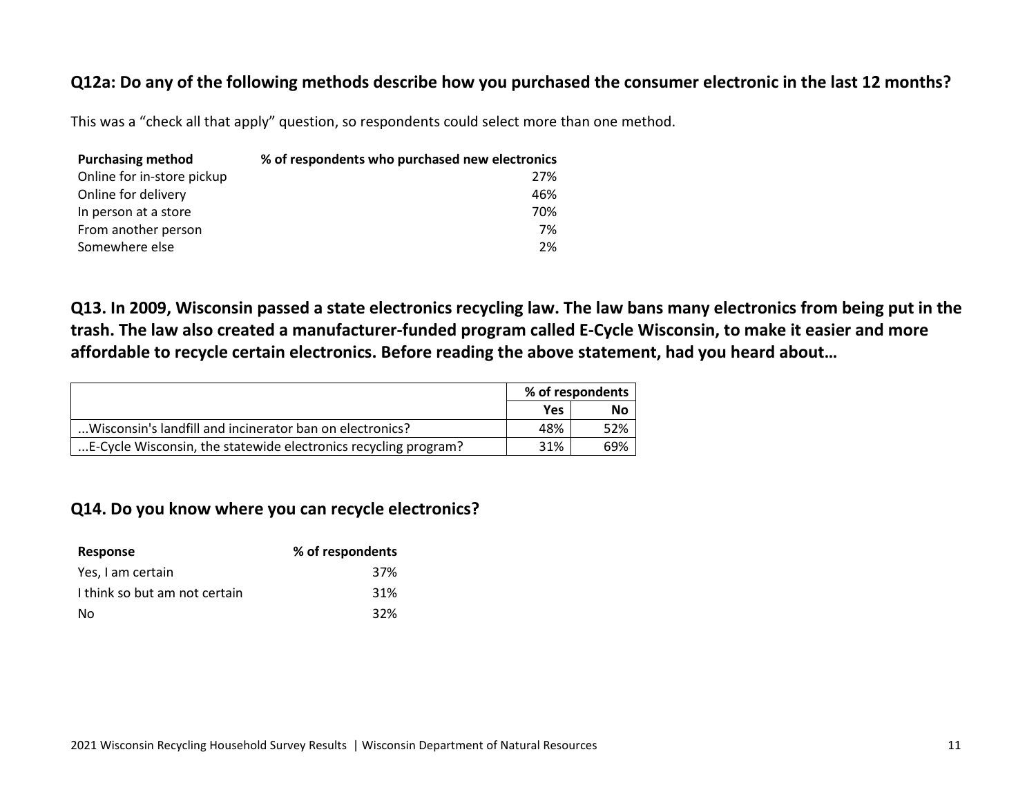#### <span id="page-10-0"></span>**Q12a: Do any of the following methods describe how you purchased the consumer electronic in the last 12 months?**

This was a "check all that apply" question, so respondents could select more than one method.

| <b>Purchasing method</b>   | % of respondents who purchased new electronics |
|----------------------------|------------------------------------------------|
| Online for in-store pickup | 27%                                            |
| Online for delivery        | 46%                                            |
| In person at a store       | 70%                                            |
| From another person        | 7%                                             |
| Somewhere else             | 2%                                             |

<span id="page-10-1"></span>**Q13. In 2009, Wisconsin passed a state electronics recycling law. The law bans many electronics from being put in the trash. The law also created a manufacturer-funded program called E-Cycle Wisconsin, to make it easier and more affordable to recycle certain electronics. Before reading the above statement, had you heard about…**

|                                                                 | % of respondents |     |
|-----------------------------------------------------------------|------------------|-----|
|                                                                 | Yes              | No  |
| Wisconsin's landfill and incinerator ban on electronics?        | 48%              | 52% |
| E-Cycle Wisconsin, the statewide electronics recycling program? | 31%              | 69% |

#### <span id="page-10-2"></span>**Q14. Do you know where you can recycle electronics?**

<span id="page-10-3"></span>

| Response                      | % of respondents |
|-------------------------------|------------------|
| Yes, I am certain             | 37%              |
| I think so but am not certain | 31%              |
| No                            | 32%              |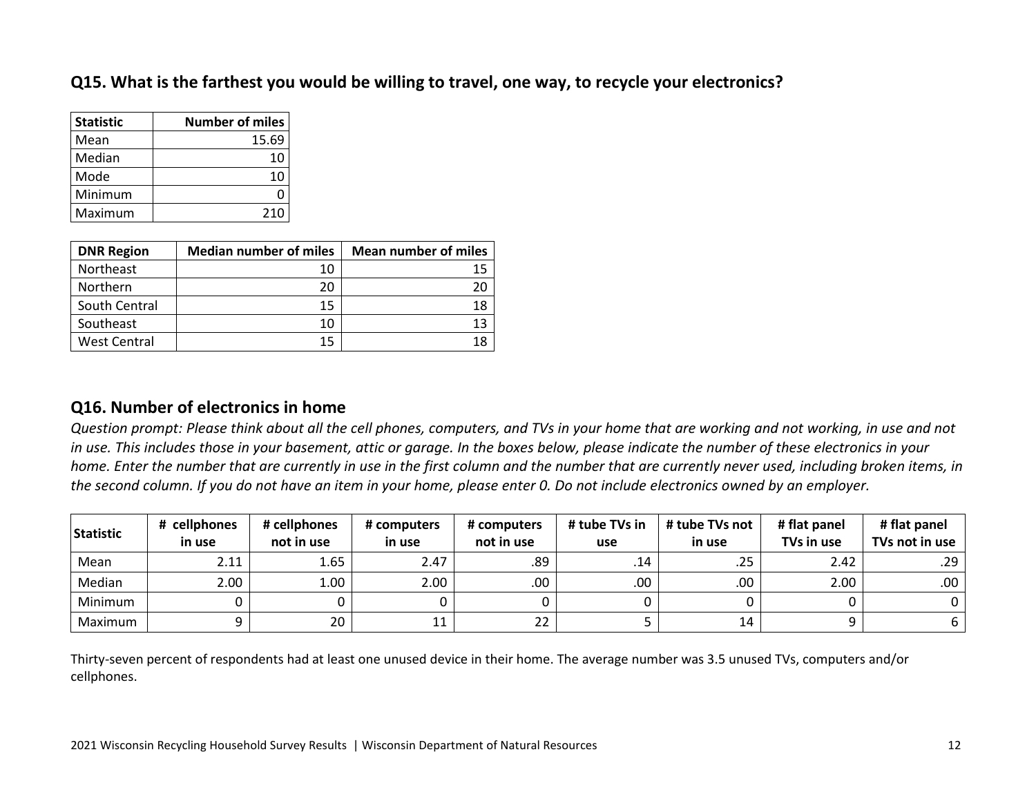#### **Q15. What is the farthest you would be willing to travel, one way, to recycle your electronics?**

| <b>Statistic</b> | <b>Number of miles</b> |
|------------------|------------------------|
| Mean             | 15.69                  |
| Median           | 10                     |
| Mode             | 10                     |
| Minimum          | С                      |
| Maximum          | 210                    |

| <b>DNR Region</b>   | <b>Median number of miles</b> | <b>Mean number of miles</b> |
|---------------------|-------------------------------|-----------------------------|
| Northeast           | 10                            | 15                          |
| Northern            | 20                            |                             |
| South Central       | 15                            | 18                          |
| Southeast           | 10                            | 13                          |
| <b>West Central</b> | 15                            | 18                          |

#### <span id="page-11-0"></span>**Q16. Number of electronics in home**

*Question prompt: Please think about all the cell phones, computers, and TVs in your home that are working and not working, in use and not in use. This includes those in your basement, attic or garage. In the boxes below, please indicate the number of these electronics in your home. Enter the number that are currently in use in the first column and the number that are currently never used, including broken items, in the second column. If you do not have an item in your home, please enter 0. Do not include electronics owned by an employer.*

| Statistic | # cellphones<br>in use | # cellphones<br>not in use | # computers<br>in use | # computers<br>not in use | # tube TVs in<br>use | # tube TVs not<br>in use | # flat panel<br>TVs in use | # flat panel<br>TVs not in use |
|-----------|------------------------|----------------------------|-----------------------|---------------------------|----------------------|--------------------------|----------------------------|--------------------------------|
| Mean      | 2.11                   | 1.65                       | 2.47                  | .89                       | .14                  | .25                      | 2.42                       | .29                            |
| Median    | 2.00 <sub>1</sub>      | 1.00                       | 2.00 <sub>1</sub>     | .00.                      | .00                  | .00.                     | 2.00                       | .00.                           |
| Minimum   |                        |                            |                       |                           |                      |                          |                            |                                |
| Maximum   |                        | 20                         | ᆂᆂ                    | רר<br>zz                  |                      | 14                       |                            | b                              |

Thirty-seven percent of respondents had at least one unused device in their home. The average number was 3.5 unused TVs, computers and/or cellphones.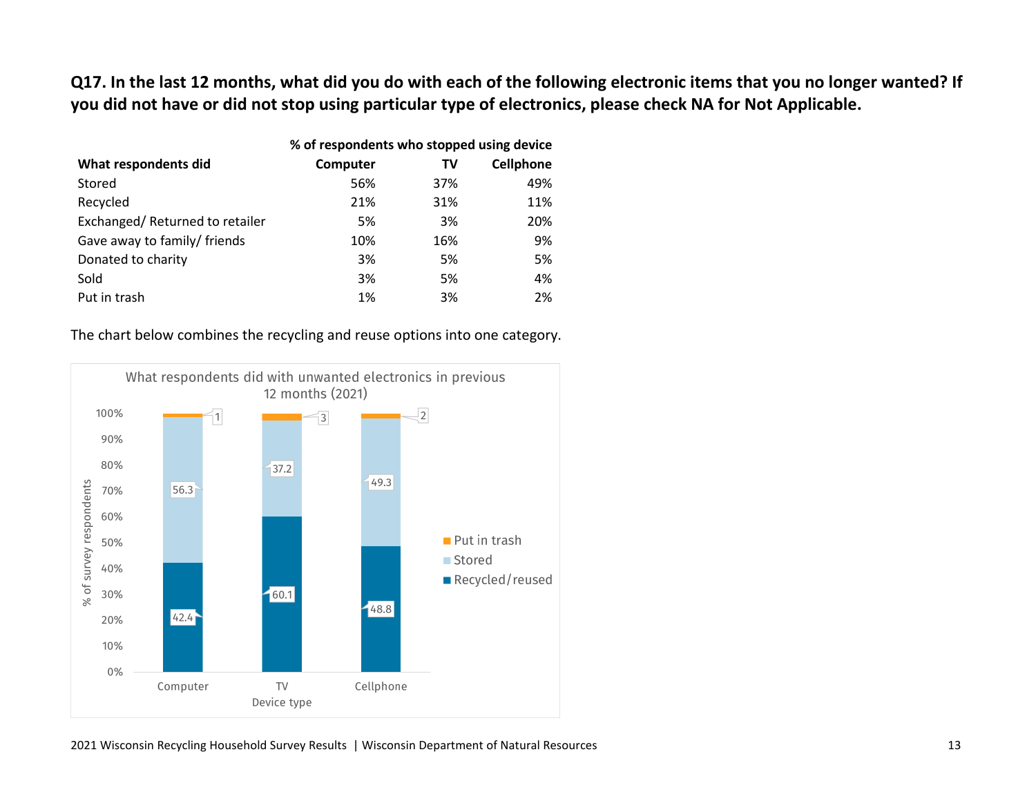<span id="page-12-0"></span>**Q17. In the last 12 months, what did you do with each of the following electronic items that you no longer wanted? If you did not have or did not stop using particular type of electronics, please check NA for Not Applicable.**

|                                | % of respondents who stopped using device |     |           |
|--------------------------------|-------------------------------------------|-----|-----------|
| What respondents did           | Computer                                  | TV  | Cellphone |
| Stored                         | 56%                                       | 37% | 49%       |
| Recycled                       | 21%                                       | 31% | 11%       |
| Exchanged/Returned to retailer | 5%                                        | 3%  | 20%       |
| Gave away to family/ friends   | 10%                                       | 16% | 9%        |
| Donated to charity             | 3%                                        | 5%  | 5%        |
| Sold                           | 3%                                        | 5%  | 4%        |
| Put in trash                   | 1%                                        | 3%  | 2%        |

#### The chart below combines the recycling and reuse options into one category.

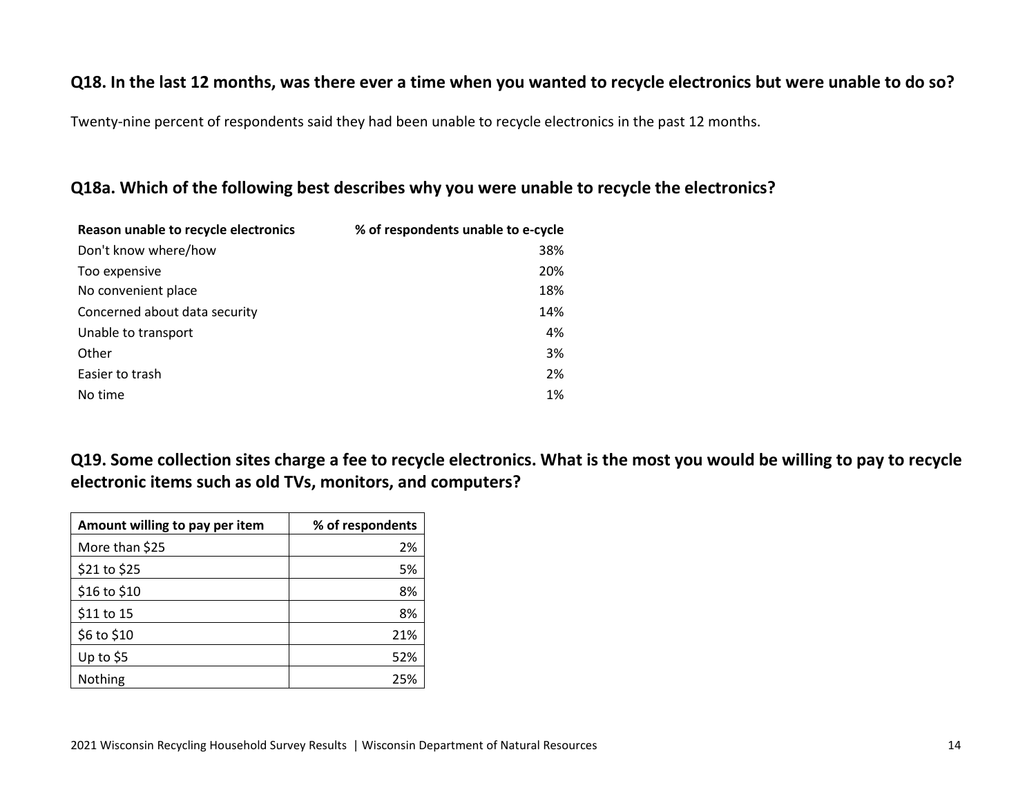#### <span id="page-13-0"></span>**Q18. In the last 12 months, was there ever a time when you wanted to recycle electronics but were unable to do so?**

Twenty-nine percent of respondents said they had been unable to recycle electronics in the past 12 months.

#### <span id="page-13-1"></span>**Q18a. Which of the following best describes why you were unable to recycle the electronics?**

| Reason unable to recycle electronics | % of respondents unable to e-cycle |
|--------------------------------------|------------------------------------|
| Don't know where/how                 | 38%                                |
| Too expensive                        | 20%                                |
| No convenient place                  | 18%                                |
| Concerned about data security        | 14%                                |
| Unable to transport                  | 4%                                 |
| Other                                | 3%                                 |
| Easier to trash                      | 2%                                 |
| No time                              | 1%                                 |

<span id="page-13-2"></span>**Q19. Some collection sites charge a fee to recycle electronics. What is the most you would be willing to pay to recycle electronic items such as old TVs, monitors, and computers?**

| Amount willing to pay per item | % of respondents |
|--------------------------------|------------------|
| More than \$25                 | 2%               |
| \$21 to \$25                   | 5%               |
| \$16 to \$10                   | 8%               |
| \$11 to 15                     | 8%               |
| \$6 to \$10                    | 21%              |
| Up to $$5$                     | 52%              |
| Nothing                        | 25%              |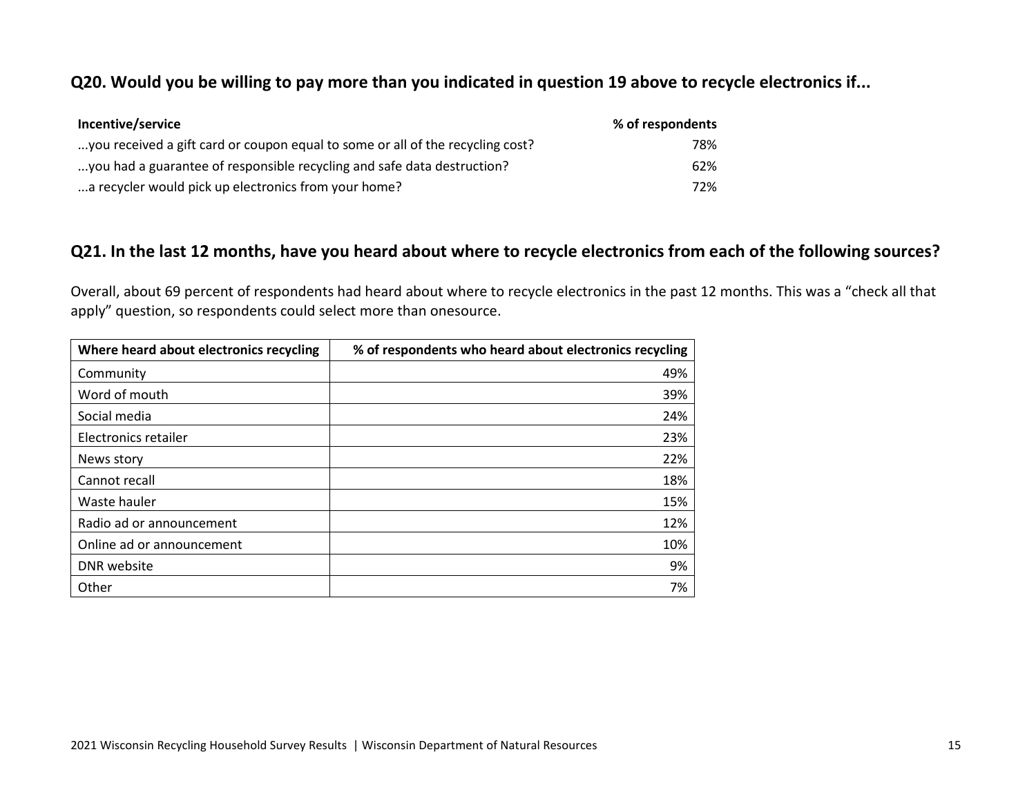#### <span id="page-14-0"></span>**Q20. Would you be willing to pay more than you indicated in question 19 above to recycle electronics if...**

| Incentive/service                                                              | % of respondents |
|--------------------------------------------------------------------------------|------------------|
| you received a gift card or coupon equal to some or all of the recycling cost? | 78%              |
| you had a guarantee of responsible recycling and safe data destruction?        | 62%              |
| a recycler would pick up electronics from your home?                           | 72%              |

#### <span id="page-14-1"></span>**Q21. In the last 12 months, have you heard about where to recycle electronics from each of the following sources?**

Overall, about 69 percent of respondents had heard about where to recycle electronics in the past 12 months. This was a "check all that apply" question, so respondents could select more than onesource.

<span id="page-14-2"></span>

| Where heard about electronics recycling | % of respondents who heard about electronics recycling |
|-----------------------------------------|--------------------------------------------------------|
| Community                               | 49%                                                    |
| Word of mouth                           | 39%                                                    |
| Social media                            | 24%                                                    |
| Electronics retailer                    | 23%                                                    |
| News story                              | 22%                                                    |
| Cannot recall                           | 18%                                                    |
| Waste hauler                            | 15%                                                    |
| Radio ad or announcement                | 12%                                                    |
| Online ad or announcement               | 10%                                                    |
| DNR website                             | 9%                                                     |
| Other                                   | 7%                                                     |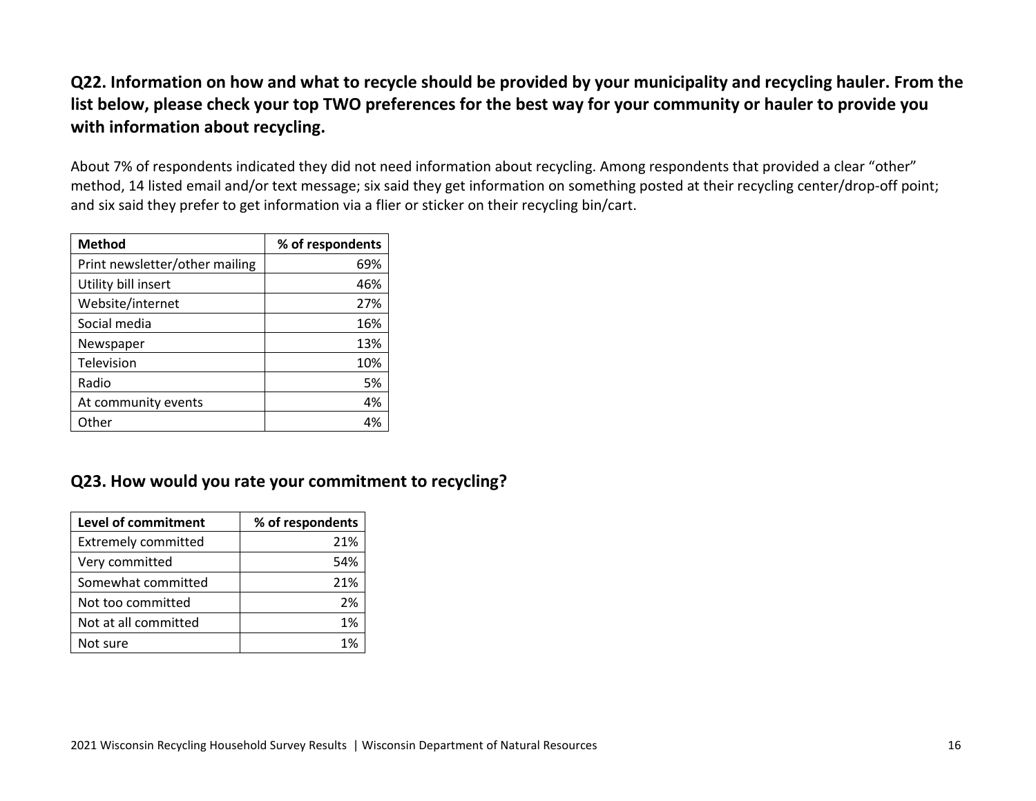# **Q22. Information on how and what to recycle should be provided by your municipality and recycling hauler. From the list below, please check your top TWO preferences for the best way for your community or hauler to provide you with information about recycling.**

About 7% of respondents indicated they did not need information about recycling. Among respondents that provided a clear "other" method, 14 listed email and/or text message; six said they get information on something posted at their recycling center/drop-off point; and six said they prefer to get information via a flier or sticker on their recycling bin/cart.

| <b>Method</b>                  | % of respondents |
|--------------------------------|------------------|
| Print newsletter/other mailing | 69%              |
| Utility bill insert            | 46%              |
| Website/internet               | 27%              |
| Social media                   | 16%              |
| Newspaper                      | 13%              |
| Television                     | 10%              |
| Radio                          | 5%               |
| At community events            | 4%               |
| Other                          | 4%               |

# <span id="page-15-0"></span>**Q23. How would you rate your commitment to recycling?**

| <b>Level of commitment</b> | % of respondents |
|----------------------------|------------------|
| <b>Extremely committed</b> | 21%              |
| Very committed             | 54%              |
| Somewhat committed         | 21%              |
| Not too committed          | 2%               |
| Not at all committed       | 1%               |
| Not sure                   | 1%               |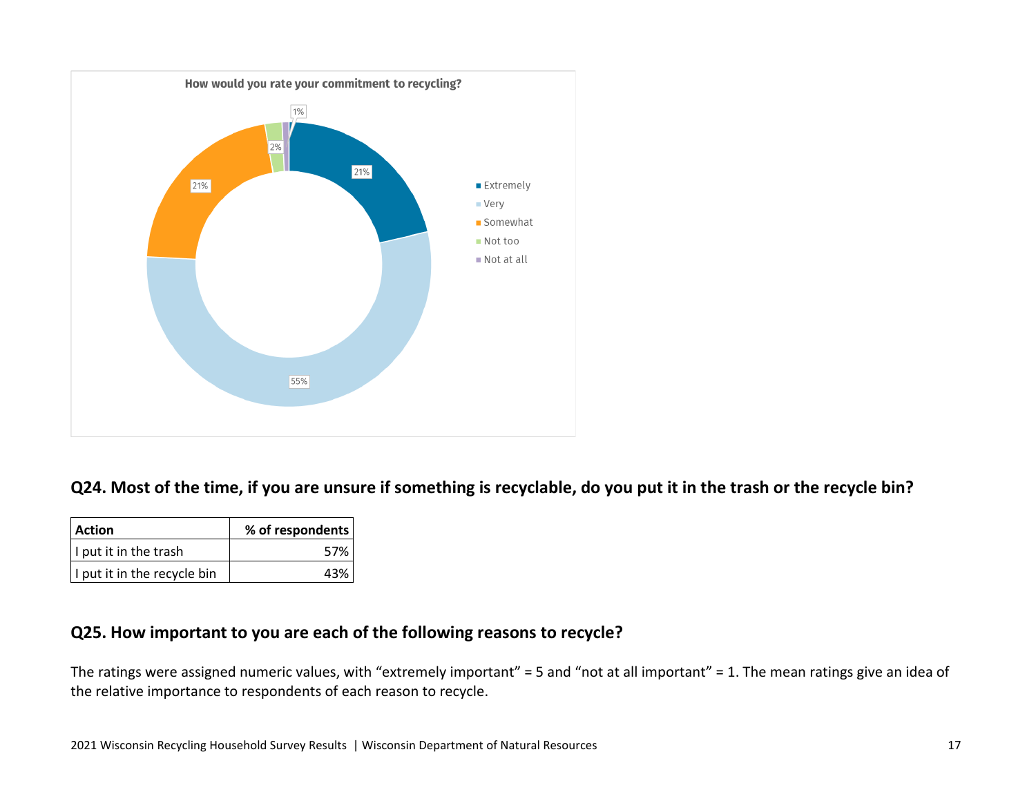

#### <span id="page-16-0"></span>**Q24. Most of the time, if you are unsure if something is recyclable, do you put it in the trash or the recycle bin?**

| Action                      | % of respondents |
|-----------------------------|------------------|
| I put it in the trash       | 57%              |
| I put it in the recycle bin | 43%              |

#### <span id="page-16-1"></span>**Q25. How important to you are each of the following reasons to recycle?**

The ratings were assigned numeric values, with "extremely important" = 5 and "not at all important" = 1. The mean ratings give an idea of the relative importance to respondents of each reason to recycle.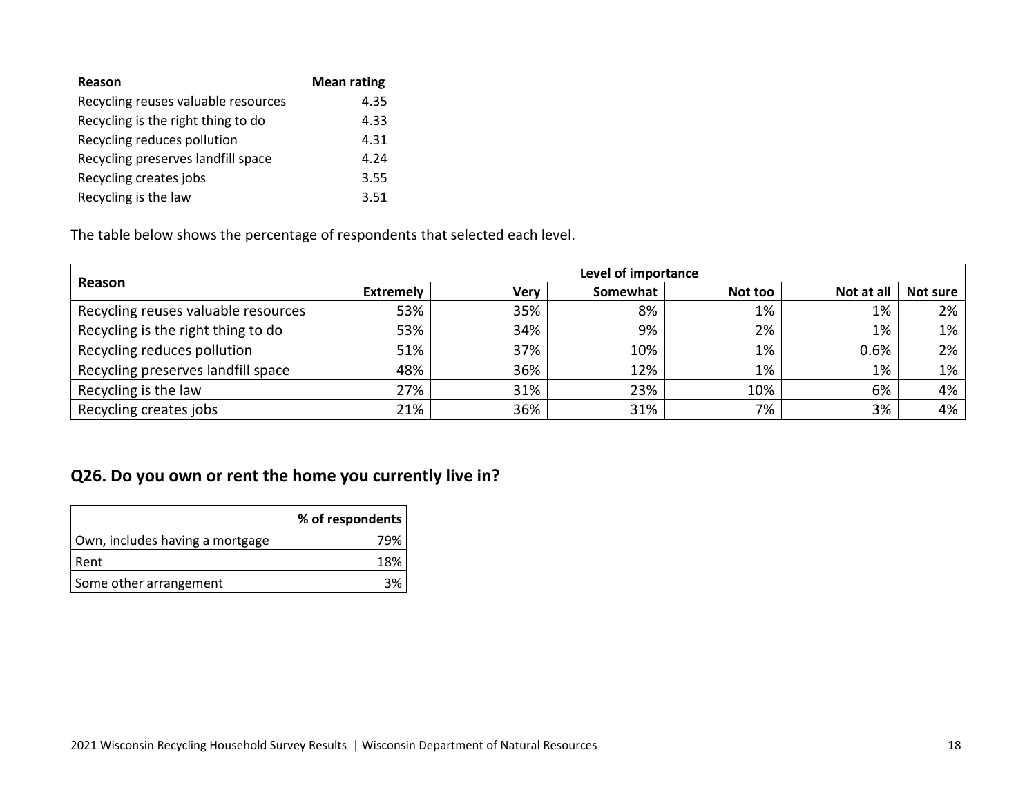| Reason                              | <b>Mean rating</b> |
|-------------------------------------|--------------------|
| Recycling reuses valuable resources | 4.35               |
| Recycling is the right thing to do  | 4.33               |
| Recycling reduces pollution         | 4.31               |
| Recycling preserves landfill space  | 4.24               |
| Recycling creates jobs              | 3.55               |
| Recycling is the law                | 3.51               |

The table below shows the percentage of respondents that selected each level.

|                                     | Level of importance |             |          |         |            |          |
|-------------------------------------|---------------------|-------------|----------|---------|------------|----------|
| Reason                              | <b>Extremely</b>    | <b>Very</b> | Somewhat | Not too | Not at all | Not sure |
| Recycling reuses valuable resources | 53%                 | 35%         | 8%       | 1%      | 1%         | 2%       |
| Recycling is the right thing to do  | 53%                 | 34%         | 9%       | 2%      | 1%         | 1%       |
| Recycling reduces pollution         | 51%                 | 37%         | 10%      | 1%      | 0.6%       | 2%       |
| Recycling preserves landfill space  | 48%                 | 36%         | 12%      | 1%      | 1%         | 1%       |
| Recycling is the law                | 27%                 | 31%         | 23%      | 10%     | 6%         | 4%       |
| Recycling creates jobs              | 21%                 | 36%         | 31%      | 7%      | 3%         | 4%       |

# <span id="page-17-0"></span>**Q26. Do you own or rent the home you currently live in?**

|                                 | % of respondents |
|---------------------------------|------------------|
| Own, includes having a mortgage | 79%              |
| l Rent                          | 18%              |
| Some other arrangement          |                  |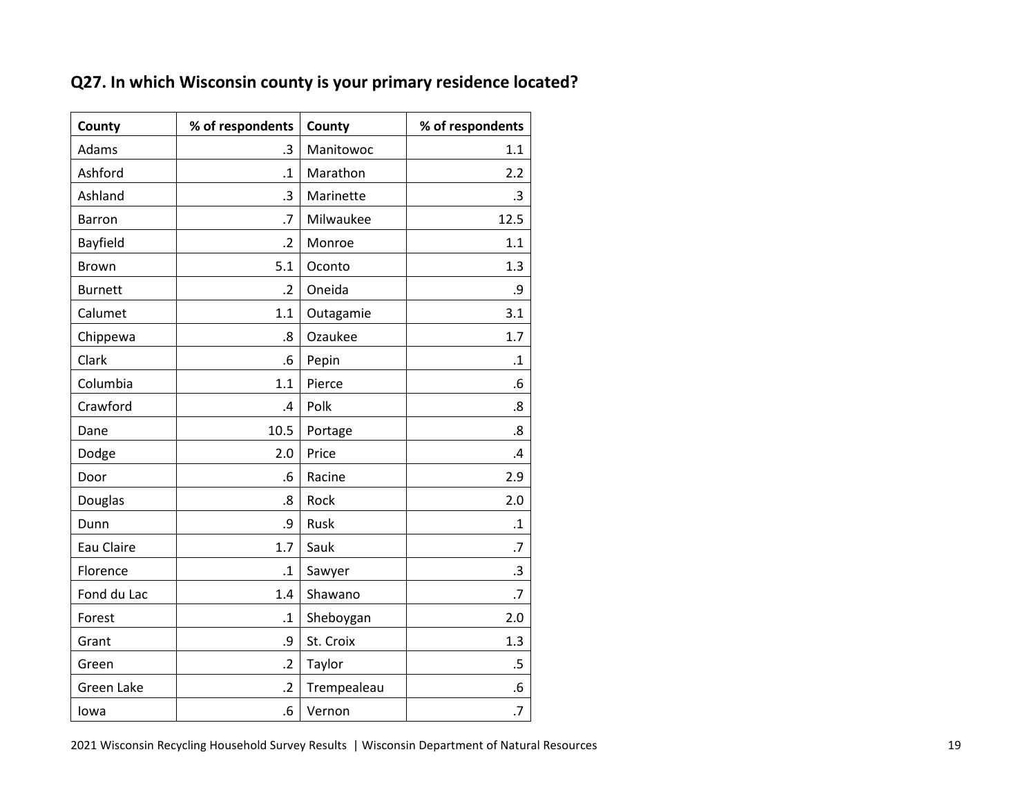| County         | % of respondents  | County      | % of respondents  |
|----------------|-------------------|-------------|-------------------|
| Adams          | $\cdot$ 3         | Manitowoc   | 1.1               |
| Ashford        | $\cdot$ 1         | Marathon    | 2.2               |
| Ashland        | .3                | Marinette   | $\cdot$ 3         |
| <b>Barron</b>  | .7                | Milwaukee   | 12.5              |
| Bayfield       | $\cdot$ .2        | Monroe      | 1.1               |
| <b>Brown</b>   | 5.1               | Oconto      | 1.3               |
| <b>Burnett</b> | $\overline{.2}$   | Oneida      | .9                |
| Calumet        | 1.1               | Outagamie   | 3.1               |
| Chippewa       | $\boldsymbol{.8}$ | Ozaukee     | 1.7               |
| Clark          | .6                | Pepin       | $\cdot$ 1         |
| Columbia       | 1.1               | Pierce      | .6                |
| Crawford       | .4                | Polk        | .8                |
| Dane           | 10.5              | Portage     | $\boldsymbol{.8}$ |
| Dodge          | 2.0               | Price       | .4                |
| Door           | .6                | Racine      | 2.9               |
| Douglas        | .8                | Rock        | 2.0               |
| Dunn           | .9                | Rusk        | $\cdot$ 1         |
| Eau Claire     | 1.7               | Sauk        | .7                |
| Florence       | $\cdot$ 1         | Sawyer      | .3                |
| Fond du Lac    | 1.4               | Shawano     | .7                |
| Forest         | $\cdot$ 1         | Sheboygan   | 2.0               |
| Grant          | .9                | St. Croix   | 1.3               |
| Green          | $\overline{2}$    | Taylor      | $.5\,$            |
| Green Lake     | $\overline{2}$    | Trempealeau | .6                |
| lowa           | .6                | Vernon      | .7                |

# <span id="page-18-0"></span>**Q27. In which Wisconsin county is your primary residence located?**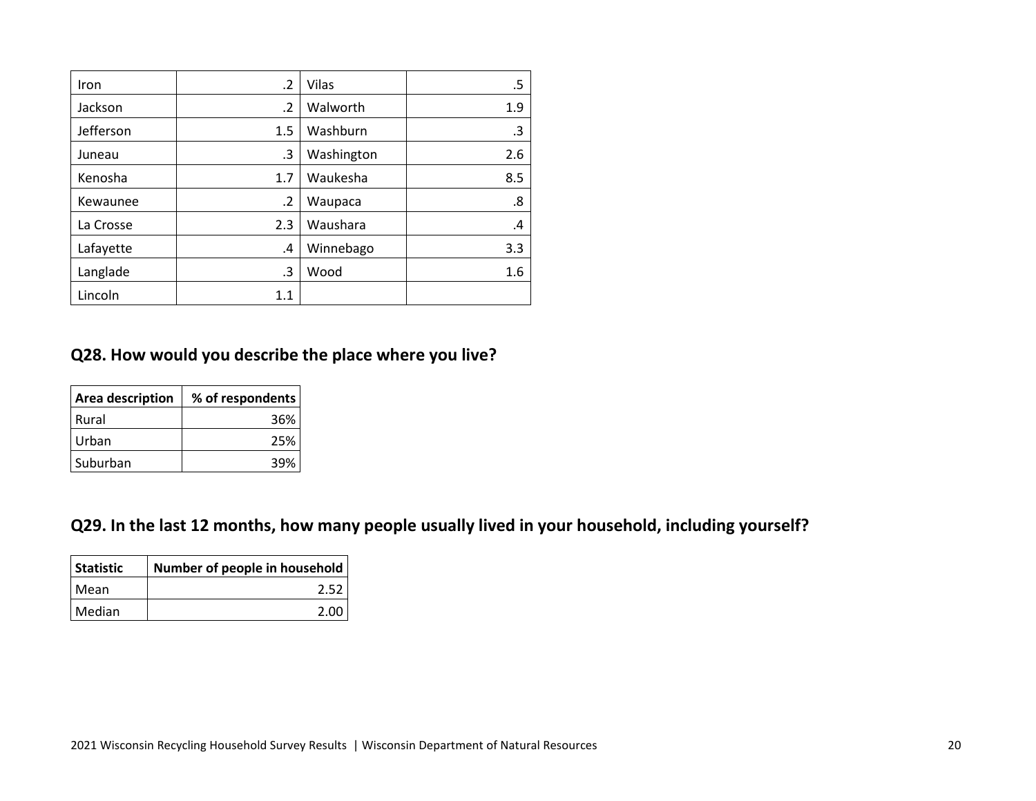| Iron      | $\cdot$ | Vilas      | .5  |
|-----------|---------|------------|-----|
| Jackson   | $\cdot$ | Walworth   | 1.9 |
| Jefferson | 1.5     | Washburn   | .3  |
| Juneau    | .3      | Washington | 2.6 |
| Kenosha   | 1.7     | Waukesha   | 8.5 |
| Kewaunee  | .2      | Waupaca    | .8  |
| La Crosse | 2.3     | Waushara   | .4  |
| Lafayette | .4      | Winnebago  | 3.3 |
| Langlade  | .3      | Wood       | 1.6 |
| Lincoln   | 1.1     |            |     |

#### <span id="page-19-0"></span>**Q28. How would you describe the place where you live?**

| <b>Area description</b> | % of respondents |
|-------------------------|------------------|
| l Rural                 | 36%              |
| Urban                   | 25%              |
| Suburban                | 39%              |

# <span id="page-19-1"></span>**Q29. In the last 12 months, how many people usually lived in your household, including yourself?**

| Statistic | Number of people in household |
|-----------|-------------------------------|
| l Mean    | 2.52                          |
| I Median  | 2.00                          |